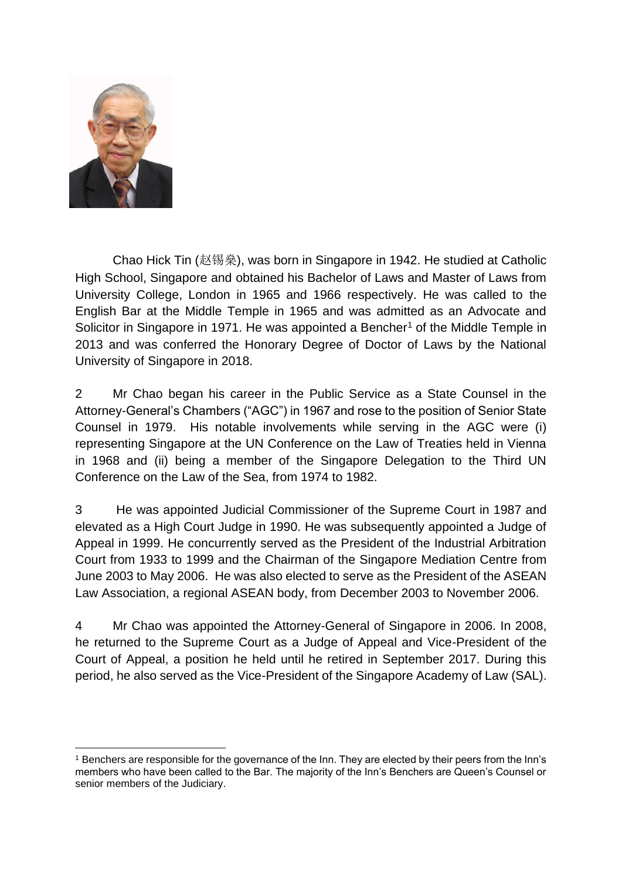

Chao Hick Tin (赵锡燊), was born in Singapore in 1942. He studied at Catholic High School, Singapore and obtained his Bachelor of Laws and Master of Laws from University College, London in 1965 and 1966 respectively. He was called to the English Bar at the Middle Temple in 1965 and was admitted as an Advocate and Solicitor in Singapore in 1971. He was appointed a Bencher<sup>1</sup> of the Middle Temple in 2013 and was conferred the Honorary Degree of Doctor of Laws by the National University of Singapore in 2018.

2 Mr Chao began his career in the Public Service as a State Counsel in the Attorney-General's Chambers ("AGC") in 1967 and rose to the position of Senior State Counsel in 1979. His notable involvements while serving in the AGC were (i) representing Singapore at the UN Conference on the Law of Treaties held in Vienna in 1968 and (ii) being a member of the Singapore Delegation to the Third UN Conference on the Law of the Sea, from 1974 to 1982.

3 He was appointed Judicial Commissioner of the Supreme Court in 1987 and elevated as a High Court Judge in 1990. He was subsequently appointed a Judge of Appeal in 1999. He concurrently served as the President of the Industrial Arbitration Court from 1933 to 1999 and the Chairman of the Singapore Mediation Centre from June 2003 to May 2006. He was also elected to serve as the President of the ASEAN Law Association, a regional ASEAN body, from December 2003 to November 2006.

4 Mr Chao was appointed the Attorney-General of Singapore in 2006. In 2008, he returned to the Supreme Court as a Judge of Appeal and Vice-President of the Court of Appeal, a position he held until he retired in September 2017. During this period, he also served as the Vice-President of the Singapore Academy of Law (SAL).

<sup>&</sup>lt;sup>1</sup> Benchers are responsible for the governance of the Inn. They are elected by their peers from the Inn's members who have been called to the Bar. The majority of the Inn's Benchers are Queen's Counsel or senior members of the Judiciary.